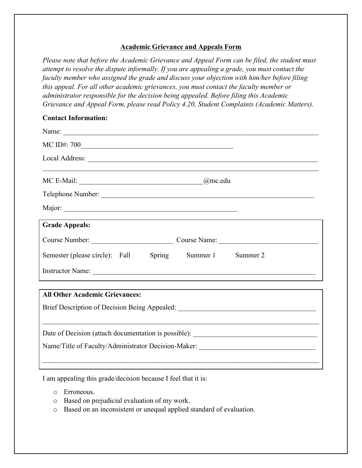## **Academic Grievance and Appeals Form**

*Please note that before the Academic Grievance and Appeal Form can be filed, the student must attempt to resolve the dispute informally. If you are appealing a grade, you must contact the faculty member who assigned the grade and discuss your objection with him/her before filing this appeal. For all other academic grievances, you must contact the faculty member or administrator responsible for the decision being appealed. Before filing this Academic Grievance and Appeal Form, please read Policy 4.20, Student Complaints (Academic Matters).*

## **Contact Information:**

| Name:                                                                             |  |
|-----------------------------------------------------------------------------------|--|
|                                                                                   |  |
|                                                                                   |  |
|                                                                                   |  |
|                                                                                   |  |
|                                                                                   |  |
| <b>Grade Appeals:</b>                                                             |  |
| Course Number: Course Name: Course Name:                                          |  |
| Semester (please circle): Fall Spring Summer 1 Summer 2                           |  |
|                                                                                   |  |
| <b>All Other Academic Grievances:</b>                                             |  |
|                                                                                   |  |
| Brief Description of Decision Being Appealed: ___________________________________ |  |
|                                                                                   |  |
| Name/Title of Faculty/Administrator Decision-Maker:                               |  |

 $\mathcal{L}_\mathcal{L} = \{ \mathcal{L}_\mathcal{L} = \{ \mathcal{L}_\mathcal{L} = \{ \mathcal{L}_\mathcal{L} = \{ \mathcal{L}_\mathcal{L} = \{ \mathcal{L}_\mathcal{L} = \{ \mathcal{L}_\mathcal{L} = \{ \mathcal{L}_\mathcal{L} = \{ \mathcal{L}_\mathcal{L} = \{ \mathcal{L}_\mathcal{L} = \{ \mathcal{L}_\mathcal{L} = \{ \mathcal{L}_\mathcal{L} = \{ \mathcal{L}_\mathcal{L} = \{ \mathcal{L}_\mathcal{L} = \{ \mathcal{L}_\mathcal{$ 

I am appealing this grade/decision because I feel that it is:

- o Erroneous.
- o Based on prejudicial evaluation of my work.
- o Based on an inconsistent or unequal applied standard of evaluation.